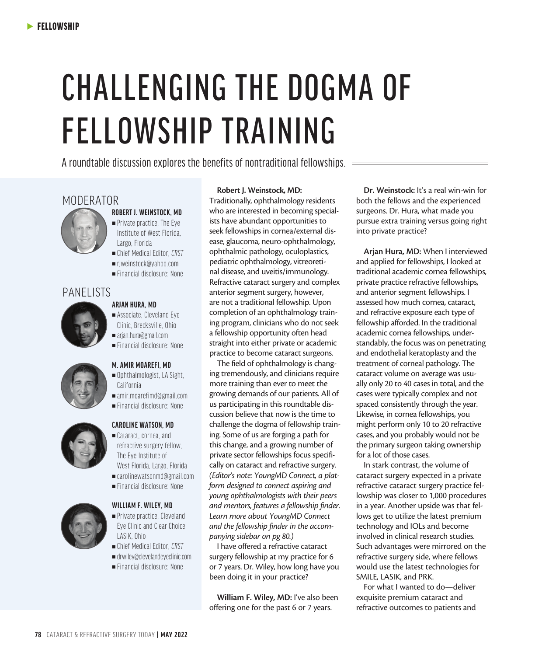# CHALLENGING THE DOGMA OF FELLOWSHIP TRAINING

A roundtable discussion explores the benefits of nontraditional fellowships.

## MODERATOR



#### **ROBERT J. WEINSTOCK, MD**



- <sup>n</sup>Chief Medical Editor, *CRST*
- ■rjweinstock@yahoo.com
- $=$  Financial disclosure: None

### PANELISTS



#### **ARJAN HURA, MD**

 $\blacksquare$  Associate, Cleveland Eye Clinic, Brecksville, Ohio <sup>n</sup>arjan.hura@gmail.com <sup>n</sup>Financial disclosure: None



#### **M. AMIR MOAREFI, MD**

- $\blacksquare$  Ophthalmologist, LA Sight, California
- $a$ mir.moarefimd@gmail.com
- $=$  Financial disclosure: None



#### **CAROLINE WATSON, MD**

- <sup>n</sup>Cataract, cornea, and refractive surgery fellow, The Eye Institute of West Florida, Largo, Florida <sup>n</sup>carolinewatsonmd@gmail.com
- <sup>n</sup>Financial disclosure: None



#### **WILLIAM F. WILEY, MD**

- Private practice, Cleveland Eye Clinic and Clear Choice LASIK, Ohio
- <sup>n</sup>Chief Medical Editor, *CRST*
- $\blacksquare$  drwiley@clevelandeyeclinic.com
- $=$  Financial disclosure: None

#### **Robert J. Weinstock, MD:**

Traditionally, ophthalmology residents who are interested in becoming specialists have abundant opportunities to seek fellowships in cornea/external disease, glaucoma, neuro-ophthalmology, ophthalmic pathology, oculoplastics, pediatric ophthalmology, vitreoretinal disease, and uveitis/immunology. Refractive cataract surgery and complex anterior segment surgery, however, are not a traditional fellowship. Upon completion of an ophthalmology training program, clinicians who do not seek a fellowship opportunity often head straight into either private or academic practice to become cataract surgeons.

The field of ophthalmology is changing tremendously, and clinicians require more training than ever to meet the growing demands of our patients. All of us participating in this roundtable discussion believe that now is the time to challenge the dogma of fellowship training. Some of us are forging a path for this change, and a growing number of private sector fellowships focus specifically on cataract and refractive surgery. *(Editor's note: YoungMD Connect, a platform designed to connect aspiring and young ophthalmologists with their peers and mentors, features a fellowship finder. Learn more about YoungMD Connect and the fellowship finder in the accompanying sidebar on pg 80.)*

I have offered a refractive cataract surgery fellowship at my practice for 6 or 7 years. Dr. Wiley, how long have you been doing it in your practice?

**William F. Wiley, MD:** I've also been offering one for the past 6 or 7 years.

**Dr. Weinstock:** It's a real win-win for both the fellows and the experienced surgeons. Dr. Hura, what made you pursue extra training versus going right into private practice?

**Arjan Hura, MD:** When I interviewed and applied for fellowships, I looked at traditional academic cornea fellowships, private practice refractive fellowships, and anterior segment fellowships. I assessed how much cornea, cataract, and refractive exposure each type of fellowship afforded. In the traditional academic cornea fellowships, understandably, the focus was on penetrating and endothelial keratoplasty and the treatment of corneal pathology. The cataract volume on average was usually only 20 to 40 cases in total, and the cases were typically complex and not spaced consistently through the year. Likewise, in cornea fellowships, you might perform only 10 to 20 refractive cases, and you probably would not be the primary surgeon taking ownership for a lot of those cases.

In stark contrast, the volume of cataract surgery expected in a private refractive cataract surgery practice fellowship was closer to 1,000 procedures in a year. Another upside was that fellows get to utilize the latest premium technology and IOLs and become involved in clinical research studies. Such advantages were mirrored on the refractive surgery side, where fellows would use the latest technologies for SMILE, LASIK, and PRK.

For what I wanted to do—deliver exquisite premium cataract and refractive outcomes to patients and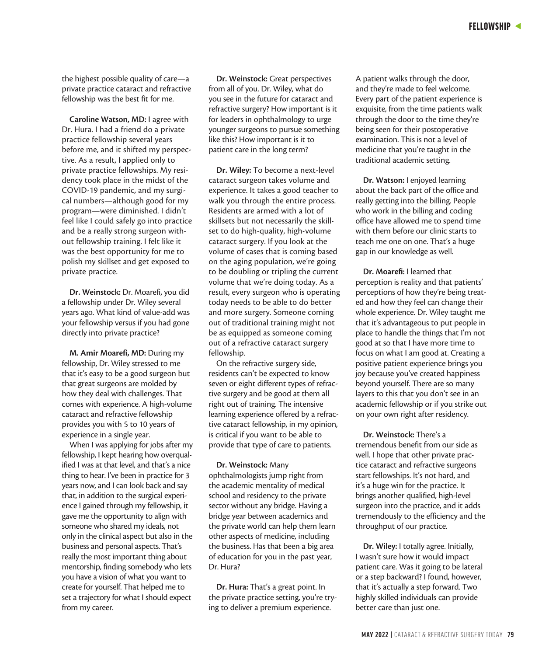the highest possible quality of care—a private practice cataract and refractive fellowship was the best fit for me.

**Caroline Watson, MD:** I agree with Dr. Hura. I had a friend do a private practice fellowship several years before me, and it shifted my perspective. As a result, I applied only to private practice fellowships. My residency took place in the midst of the COVID-19 pandemic, and my surgical numbers—although good for my program—were diminished. I didn't feel like I could safely go into practice and be a really strong surgeon without fellowship training. I felt like it was the best opportunity for me to polish my skillset and get exposed to private practice.

**Dr. Weinstock:** Dr. Moarefi, you did a fellowship under Dr. Wiley several years ago. What kind of value-add was your fellowship versus if you had gone directly into private practice?

**M. Amir Moarefi, MD:** During my fellowship, Dr. Wiley stressed to me that it's easy to be a good surgeon but that great surgeons are molded by how they deal with challenges. That comes with experience. A high-volume cataract and refractive fellowship provides you with 5 to 10 years of experience in a single year.

When I was applying for jobs after my fellowship, I kept hearing how overqualified I was at that level, and that's a nice thing to hear. I've been in practice for 3 years now, and I can look back and say that, in addition to the surgical experience I gained through my fellowship, it gave me the opportunity to align with someone who shared my ideals, not only in the clinical aspect but also in the business and personal aspects. That's really the most important thing about mentorship, finding somebody who lets you have a vision of what you want to create for yourself. That helped me to set a trajectory for what I should expect from my career.

**Dr. Weinstock:** Great perspectives from all of you. Dr. Wiley, what do you see in the future for cataract and refractive surgery? How important is it for leaders in ophthalmology to urge younger surgeons to pursue something like this? How important is it to patient care in the long term?

**Dr. Wiley:** To become a next-level cataract surgeon takes volume and experience. It takes a good teacher to walk you through the entire process. Residents are armed with a lot of skillsets but not necessarily the skillset to do high-quality, high-volume cataract surgery. If you look at the volume of cases that is coming based on the aging population, we're going to be doubling or tripling the current volume that we're doing today. As a result, every surgeon who is operating today needs to be able to do better and more surgery. Someone coming out of traditional training might not be as equipped as someone coming out of a refractive cataract surgery fellowship.

On the refractive surgery side, residents can't be expected to know seven or eight different types of refractive surgery and be good at them all right out of training. The intensive learning experience offered by a refractive cataract fellowship, in my opinion, is critical if you want to be able to provide that type of care to patients.

**Dr. Weinstock:** Many ophthalmologists jump right from the academic mentality of medical school and residency to the private sector without any bridge. Having a bridge year between academics and the private world can help them learn other aspects of medicine, including the business. Has that been a big area of education for you in the past year, Dr. Hura?

**Dr. Hura:** That's a great point. In the private practice setting, you're trying to deliver a premium experience.

A patient walks through the door, and they're made to feel welcome. Every part of the patient experience is exquisite, from the time patients walk through the door to the time they're being seen for their postoperative examination. This is not a level of medicine that you're taught in the traditional academic setting.

**Dr. Watson:** I enjoyed learning about the back part of the office and really getting into the billing. People who work in the billing and coding office have allowed me to spend time with them before our clinic starts to teach me one on one. That's a huge gap in our knowledge as well.

**Dr. Moarefi:** I learned that perception is reality and that patients' perceptions of how they're being treated and how they feel can change their whole experience. Dr. Wiley taught me that it's advantageous to put people in place to handle the things that I'm not good at so that I have more time to focus on what I am good at. Creating a positive patient experience brings you joy because you've created happiness beyond yourself. There are so many layers to this that you don't see in an academic fellowship or if you strike out on your own right after residency.

**Dr. Weinstock:** There's a tremendous benefit from our side as well. I hope that other private practice cataract and refractive surgeons start fellowships. It's not hard, and it's a huge win for the practice. It brings another qualified, high-level surgeon into the practice, and it adds tremendously to the efficiency and the throughput of our practice.

**Dr. Wiley:** I totally agree. Initially, I wasn't sure how it would impact patient care. Was it going to be lateral or a step backward? I found, however, that it's actually a step forward. Two highly skilled individuals can provide better care than just one.